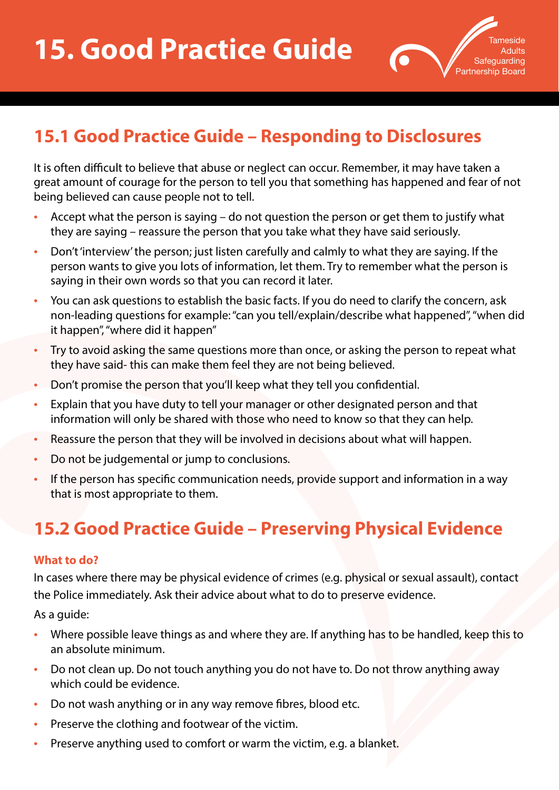

## **15.1 Good Practice Guide – Responding to Disclosures**

It is often difficult to believe that abuse or neglect can occur. Remember, it may have taken a great amount of courage for the person to tell you that something has happened and fear of not being believed can cause people not to tell.

- Accept what the person is saying do not question the person or get them to justify what they are saying – reassure the person that you take what they have said seriously.
- Don't 'interview' the person; just listen carefully and calmly to what they are saying. If the person wants to give you lots of information, let them. Try to remember what the person is saying in their own words so that you can record it later.
- You can ask questions to establish the basic facts. If you do need to clarify the concern, ask non-leading questions for example: "can you tell/explain/describe what happened", "when did it happen", "where did it happen"
- Try to avoid asking the same questions more than once, or asking the person to repeat what they have said- this can make them feel they are not being believed.
- Don't promise the person that you'll keep what they tell you confidential.
- Explain that you have duty to tell your manager or other designated person and that information will only be shared with those who need to know so that they can help.
- Reassure the person that they will be involved in decisions about what will happen.
- Do not be judgemental or jump to conclusions.
- If the person has specific communication needs, provide support and information in a way that is most appropriate to them.

# **15.2 Good Practice Guide – Preserving Physical Evidence**

### **What to do?**

In cases where there may be physical evidence of crimes (e.g. physical or sexual assault), contact the Police immediately. Ask their advice about what to do to preserve evidence.

As a guide:

- Where possible leave things as and where they are. If anything has to be handled, keep this to an absolute minimum.
- Do not clean up. Do not touch anything you do not have to. Do not throw anything away which could be evidence.
- Do not wash anything or in any way remove fibres, blood etc.
- Preserve the clothing and footwear of the victim.
- Preserve anything used to comfort or warm the victim, e.g. a blanket.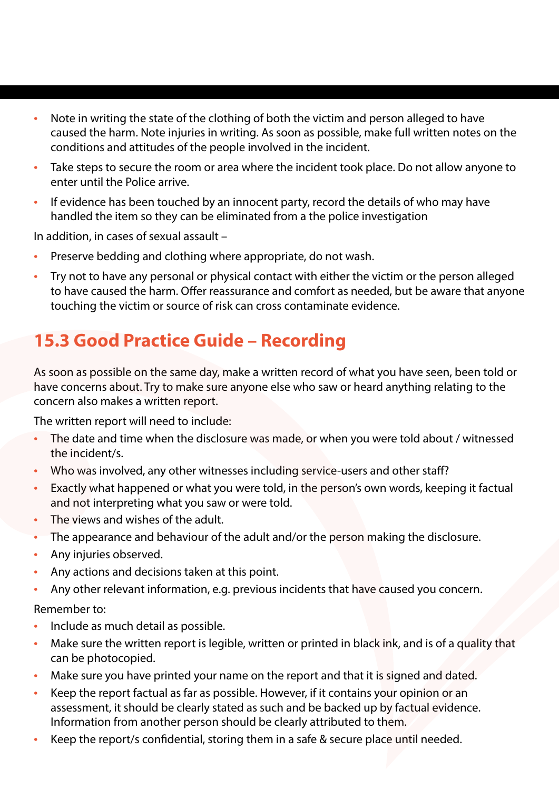- Note in writing the state of the clothing of both the victim and person alleged to have caused the harm. Note injuries in writing. As soon as possible, make full written notes on the conditions and attitudes of the people involved in the incident.
- Take steps to secure the room or area where the incident took place. Do not allow anyone to enter until the Police arrive.
- If evidence has been touched by an innocent party, record the details of who may have handled the item so they can be eliminated from a the police investigation

In addition, in cases of sexual assault –

- Preserve bedding and clothing where appropriate, do not wash.
- Try not to have any personal or physical contact with either the victim or the person alleged to have caused the harm. Offer reassurance and comfort as needed, but be aware that anyone touching the victim or source of risk can cross contaminate evidence.

## **15.3 Good Practice Guide – Recording**

As soon as possible on the same day, make a written record of what you have seen, been told or have concerns about. Try to make sure anyone else who saw or heard anything relating to the concern also makes a written report.

The written report will need to include:

- The date and time when the disclosure was made, or when you were told about / witnessed the incident/s.
- Who was involved, any other witnesses including service-users and other staff?
- Exactly what happened or what you were told, in the person's own words, keeping it factual and not interpreting what you saw or were told.
- The views and wishes of the adult.
- The appearance and behaviour of the adult and/or the person making the disclosure.
- Any injuries observed.
- Any actions and decisions taken at this point.
- Any other relevant information, e.g. previous incidents that have caused you concern.

Remember to:

- Include as much detail as possible.
- Make sure the written report is legible, written or printed in black ink, and is of a quality that can be photocopied.
- Make sure you have printed your name on the report and that it is signed and dated.
- Keep the report factual as far as possible. However, if it contains your opinion or an assessment, it should be clearly stated as such and be backed up by factual evidence. Information from another person should be clearly attributed to them.
- Keep the report/s confidential, storing them in a safe & secure place until needed.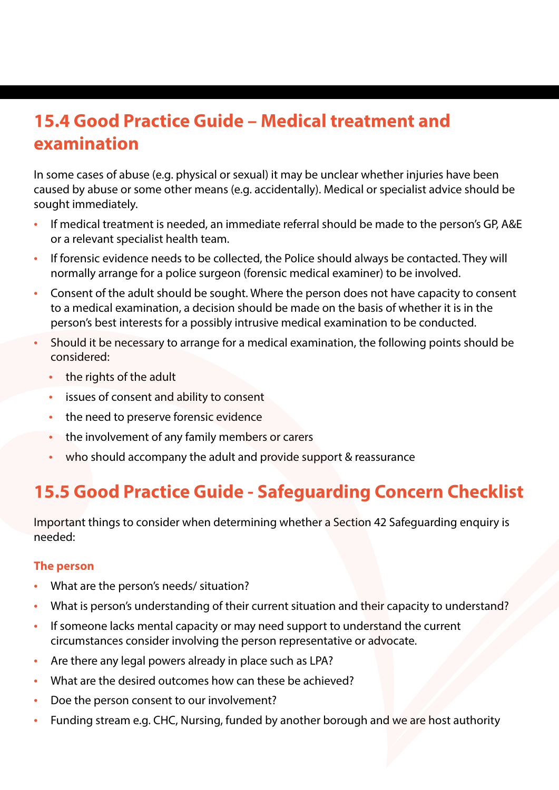### **15.4 Good Practice Guide – Medical treatment and examination**

In some cases of abuse (e.g. physical or sexual) it may be unclear whether injuries have been caused by abuse or some other means (e.g. accidentally). Medical or specialist advice should be sought immediately.

- If medical treatment is needed, an immediate referral should be made to the person's GP, A&E or a relevant specialist health team.
- If forensic evidence needs to be collected, the Police should always be contacted. They will normally arrange for a police surgeon (forensic medical examiner) to be involved.
- Consent of the adult should be sought. Where the person does not have capacity to consent to a medical examination, a decision should be made on the basis of whether it is in the person's best interests for a possibly intrusive medical examination to be conducted.
- Should it be necessary to arrange for a medical examination, the following points should be considered:
	- the rights of the adult
	- issues of consent and ability to consent
	- the need to preserve forensic evidence
	- the involvement of any family members or carers
	- who should accompany the adult and provide support & reassurance

## **15.5 Good Practice Guide - Safeguarding Concern Checklist**

Important things to consider when determining whether a Section 42 Safeguarding enquiry is needed:

#### **The person**

- What are the person's needs/ situation?
- What is person's understanding of their current situation and their capacity to understand?
- If someone lacks mental capacity or may need support to understand the current circumstances consider involving the person representative or advocate.
- Are there any legal powers already in place such as LPA?
- What are the desired outcomes how can these be achieved?
- Doe the person consent to our involvement?
- Funding stream e.g. CHC, Nursing, funded by another borough and we are host authority